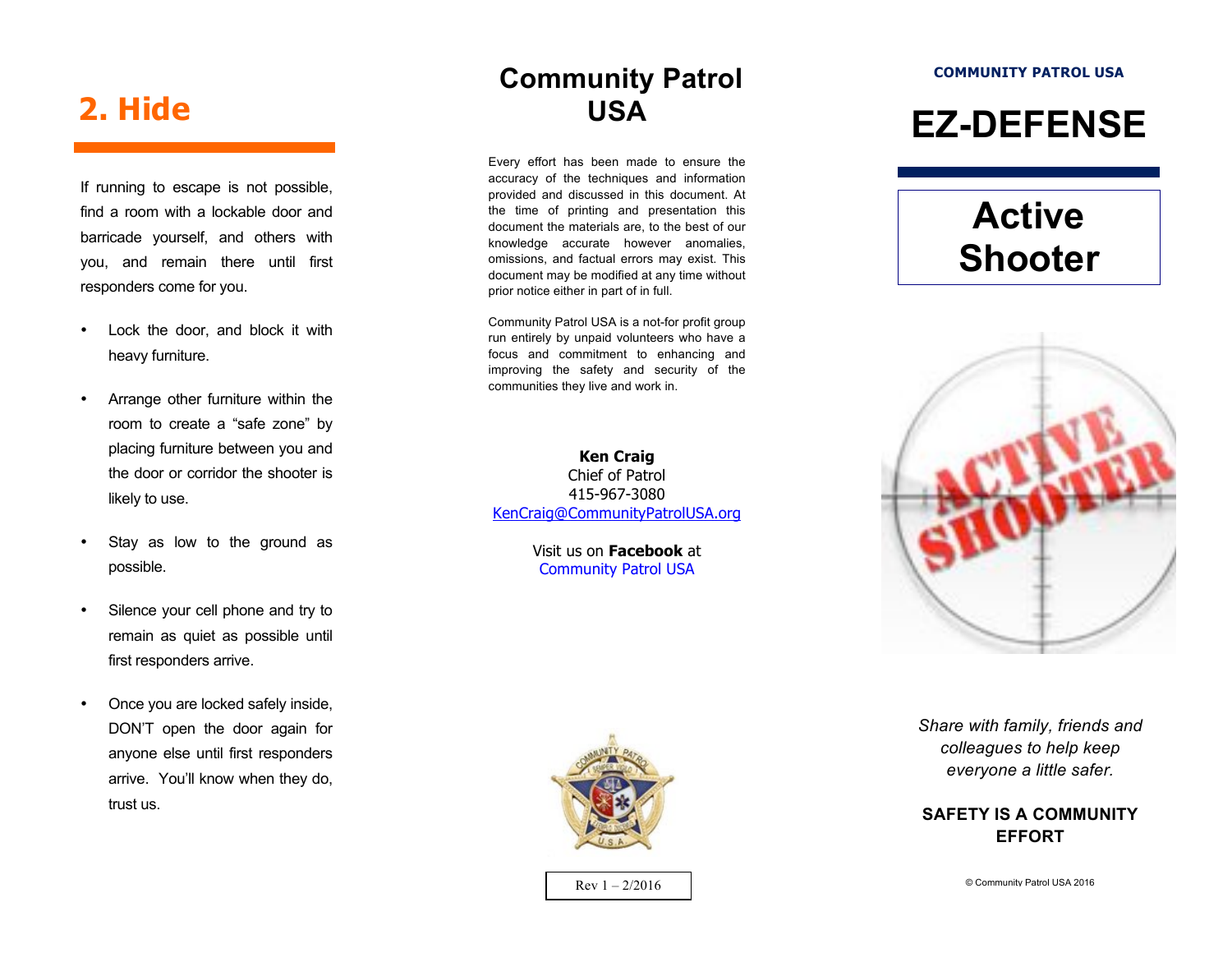If running to escape is not possible, find a room with a lockable door and barricade yourself, and others with you, and remain there until first responders come for you.

- Lock the door, and block it with heavy furniture.
- Arrange other furniture within the room to create a "safe zone" by placing furniture between you and the door or corridor the shooter is likely to use.
- Stay as low to the ground as possible.
- Silence your cell phone and try to remain as quiet as possible until first responders arrive.
- Once you are locked safely inside, DON'T open the door again for anyone else until first responders arrive. You'll know when they do, trust us.

## **2. Hide EZ-DEFENSE Community Patrol USA**

Every effort has been made to ensure the accuracy of the techniques and information provided and discussed in this document. At the time of printing and presentation this document the materials are, to the best of our knowledge accurate however anomalies, omissions, and factual errors may exist. This document may be modified at any time without prior notice either in part of in full.

Community Patrol USA is a not-for profit group run entirely by unpaid volunteers who have a focus and commitment to enhancing and improving the safety and security of the communities they live and work in.

**Ken Craig** Chief of Patrol 415-967-3080 KenCraig@CommunityPatrolUSA.org

> Visit us on **Facebook** at Community Patrol USA



 $Rev 1 - 2/2016$ 

**COMMUNITY PATROL USA**

# **Active Shooter**



*Share with family, friends and colleagues to help keep everyone a little safer.*

**SAFETY IS A COMMUNITY EFFORT**

© Community Patrol USA 2016